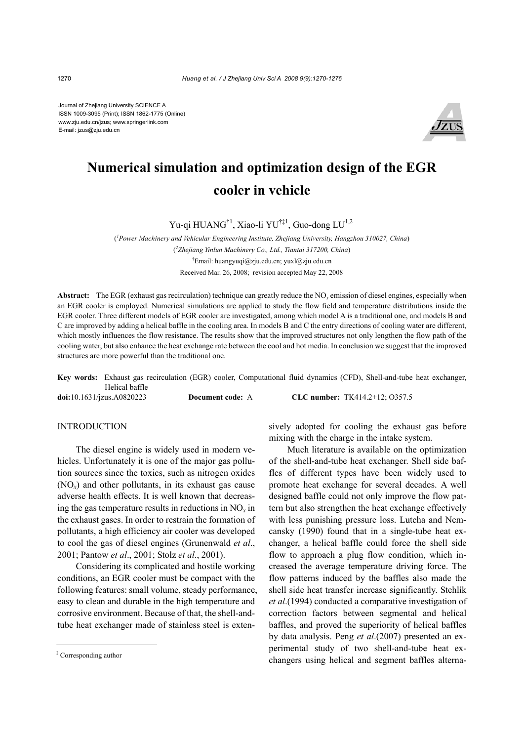Journal of Zhejiang University SCIENCE A ISSN 1009-3095 (Print); ISSN 1862-1775 (Online) www.zju.edu.cn/jzus; www.springerlink.com E-mail: jzus@zju.edu.cn



# **Numerical simulation and optimization design of the EGR cooler in vehicle**

Yu-qi HUANG<sup>†1</sup>, Xiao-li YU<sup>†‡1</sup>, Guo-dong LU<sup>1,2</sup>

( *1 Power Machinery and Vehicular Engineering Institute, Zhejiang University, Hangzhou 310027, China*) ( *2 Zhejiang Yinlun Machinery Co., Ltd., Tiantai 317200, China*) † Email: huangyuqi@zju.edu.cn; yuxl@zju.edu.cn Received Mar. 26, 2008; revision accepted May 22, 2008

**Abstract:** The EGR (exhaust gas recirculation) technique can greatly reduce the NO*x* emission of diesel engines, especially when an EGR cooler is employed. Numerical simulations are applied to study the flow field and temperature distributions inside the EGR cooler. Three different models of EGR cooler are investigated, among which model A is a traditional one, and models B and C are improved by adding a helical baffle in the cooling area. In models B and C the entry directions of cooling water are different, which mostly influences the flow resistance. The results show that the improved structures not only lengthen the flow path of the cooling water, but also enhance the heat exchange rate between the cool and hot media. In conclusion we suggest that the improved structures are more powerful than the traditional one.

**Key words:** Exhaust gas recirculation (EGR) cooler, Computational fluid dynamics (CFD), Shell-and-tube heat exchanger, Helical baffle **doi:**10.1631/jzus.A0820223 **Document code:** A **CLC number:** TK414.2+12; O357.5

#### INTRODUCTION

The diesel engine is widely used in modern vehicles. Unfortunately it is one of the major gas pollution sources since the toxics, such as nitrogen oxides (NO*x*) and other pollutants, in its exhaust gas cause adverse health effects. It is well known that decreasing the gas temperature results in reductions in  $NO<sub>x</sub>$  in the exhaust gases. In order to restrain the formation of pollutants, a high efficiency air cooler was developed to cool the gas of diesel engines (Grunenwald *et al*., 2001; Pantow *et al*., 2001; Stolz *et al*., 2001).

Considering its complicated and hostile working conditions, an EGR cooler must be compact with the following features: small volume, steady performance, easy to clean and durable in the high temperature and corrosive environment. Because of that, the shell-andtube heat exchanger made of stainless steel is extensively adopted for cooling the exhaust gas before mixing with the charge in the intake system.

Much literature is available on the optimization of the shell-and-tube heat exchanger. Shell side baffles of different types have been widely used to promote heat exchange for several decades. A well designed baffle could not only improve the flow pattern but also strengthen the heat exchange effectively with less punishing pressure loss. Lutcha and Nemcansky (1990) found that in a single-tube heat exchanger, a helical baffle could force the shell side flow to approach a plug flow condition, which increased the average temperature driving force. The flow patterns induced by the baffles also made the shell side heat transfer increase significantly. Stehlík *et al*.(1994) conducted a comparative investigation of correction factors between segmental and helical baffles, and proved the superiority of helical baffles by data analysis. Peng *et al*.(2007) presented an experimental study of two shell-and-tube heat exchangers using helical and segment baffles alterna-

<sup>‡</sup> Corresponding author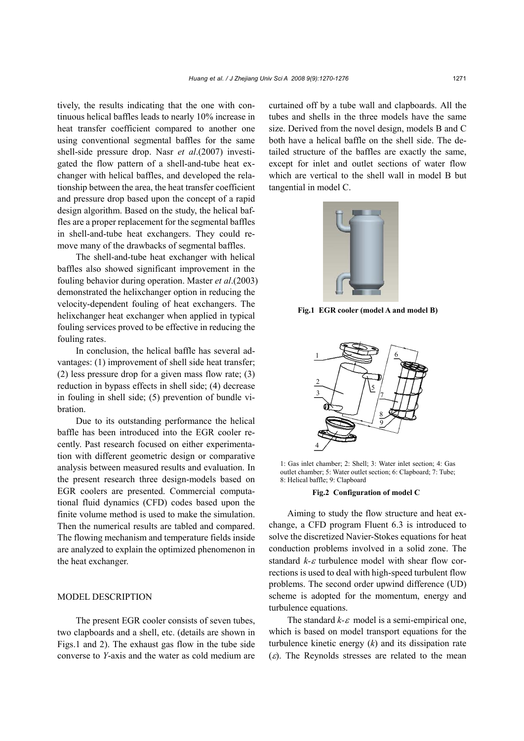tively, the results indicating that the one with continuous helical baffles leads to nearly 10% increase in heat transfer coefficient compared to another one using conventional segmental baffles for the same shell-side pressure drop. Nasr *et al*.(2007) investigated the flow pattern of a shell-and-tube heat exchanger with helical baffles, and developed the relationship between the area, the heat transfer coefficient and pressure drop based upon the concept of a rapid design algorithm. Based on the study, the helical baffles are a proper replacement for the segmental baffles in shell-and-tube heat exchangers. They could remove many of the drawbacks of segmental baffles.

The shell-and-tube heat exchanger with helical baffles also showed significant improvement in the fouling behavior during operation. Master *et al*.(2003) demonstrated the helixchanger option in reducing the velocity-dependent fouling of heat exchangers. The helixchanger heat exchanger when applied in typical fouling services proved to be effective in reducing the fouling rates.

In conclusion, the helical baffle has several advantages: (1) improvement of shell side heat transfer; (2) less pressure drop for a given mass flow rate; (3) reduction in bypass effects in shell side; (4) decrease in fouling in shell side; (5) prevention of bundle vibration.

Due to its outstanding performance the helical baffle has been introduced into the EGR cooler recently. Past research focused on either experimentation with different geometric design or comparative analysis between measured results and evaluation. In the present research three design-models based on EGR coolers are presented. Commercial computational fluid dynamics (CFD) codes based upon the finite volume method is used to make the simulation. Then the numerical results are tabled and compared. The flowing mechanism and temperature fields inside are analyzed to explain the optimized phenomenon in the heat exchanger.

### MODEL DESCRIPTION

The present EGR cooler consists of seven tubes, two clapboards and a shell, etc. (details are shown in Figs.1 and 2). The exhaust gas flow in the tube side converse to *Y*-axis and the water as cold medium are curtained off by a tube wall and clapboards. All the tubes and shells in the three models have the same size. Derived from the novel design, models B and C both have a helical baffle on the shell side. The detailed structure of the baffles are exactly the same, except for inlet and outlet sections of water flow which are vertical to the shell wall in model B but tangential in model C.



**Fig.1 EGR cooler (model A and model B)**



1: Gas inlet chamber; 2: Shell; 3: Water inlet section; 4: Gas outlet chamber; 5: Water outlet section; 6: Clapboard; 7: Tube; 8: Helical baffle; 9: Clapboard

#### **Fig.2 Configuration of model C**

Aiming to study the flow structure and heat exchange, a CFD program Fluent 6.3 is introduced to solve the discretized Navier-Stokes equations for heat conduction problems involved in a solid zone. The standard *k-*ε turbulence model with shear flow corrections is used to deal with high-speed turbulent flow problems. The second order upwind difference (UD) scheme is adopted for the momentum, energy and turbulence equations.

The standard  $k$ - $\varepsilon$  model is a semi-empirical one, which is based on model transport equations for the turbulence kinetic energy (*k*) and its dissipation rate  $(\varepsilon)$ . The Reynolds stresses are related to the mean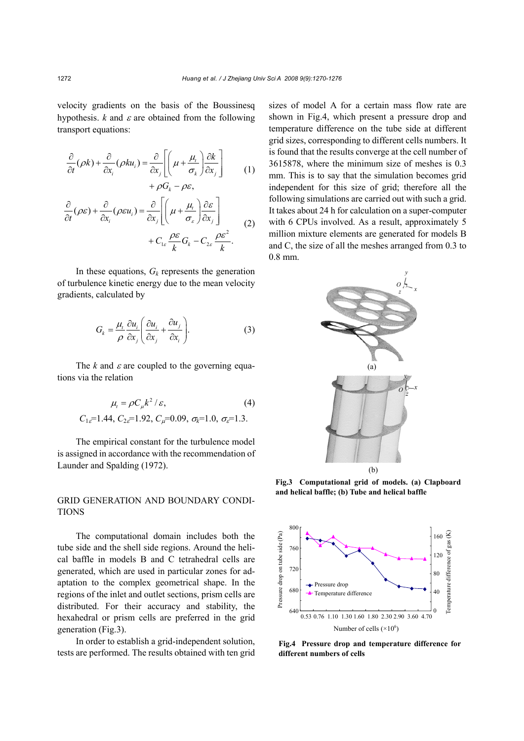velocity gradients on the basis of the Boussinesq hypothesis.  $k$  and  $\varepsilon$  are obtained from the following transport equations:

$$
\frac{\partial}{\partial t}(\rho k) + \frac{\partial}{\partial x_i}(\rho k u_i) = \frac{\partial}{\partial x_j} \left[ \left( \mu + \frac{\mu_i}{\sigma_k} \right) \frac{\partial k}{\partial x_j} \right] + \rho G_k - \rho \varepsilon,
$$
\n(1)

*k*

$$
\frac{\partial}{\partial t}(\rho \varepsilon) + \frac{\partial}{\partial x_i}(\rho \varepsilon u_i) = \frac{\partial}{\partial x_j} \left[ \left( \mu + \frac{\mu_i}{\sigma_{\varepsilon}} \right) \frac{\partial \varepsilon}{\partial x_j} \right] + C_{1\varepsilon} \frac{\rho \varepsilon}{k} G_k - C_{2\varepsilon} \frac{\rho \varepsilon^2}{k}.
$$
\n(2)

In these equations,  $G_k$  represents the generation of turbulence kinetic energy due to the mean velocity gradients, calculated by

$$
G_k = \frac{\mu_i}{\rho} \frac{\partial u_i}{\partial x_j} \left( \frac{\partial u_i}{\partial x_j} + \frac{\partial u_j}{\partial x_i} \right).
$$
 (3)

The  $k$  and  $\varepsilon$  are coupled to the governing equations via the relation

$$
\mu_{t} = \rho C_{\mu} k^{2} / \varepsilon, \tag{4}
$$
  

$$
C_{1\varepsilon} = 1.44, C_{2\varepsilon} = 1.92, C_{\mu} = 0.09, \sigma_{k} = 1.0, \sigma_{\varepsilon} = 1.3.
$$

The empirical constant for the turbulence model is assigned in accordance with the recommendation of Launder and Spalding (1972).

# GRID GENERATION AND BOUNDARY CONDI-TIONS

The computational domain includes both the tube side and the shell side regions. Around the helical baffle in models B and C tetrahedral cells are generated, which are used in particular zones for adaptation to the complex geometrical shape. In the regions of the inlet and outlet sections, prism cells are distributed. For their accuracy and stability, the hexahedral or prism cells are preferred in the grid generation (Fig.3).

In order to establish a grid-independent solution, tests are performed. The results obtained with ten grid sizes of model A for a certain mass flow rate are shown in Fig.4, which present a pressure drop and temperature difference on the tube side at different grid sizes, corresponding to different cells numbers. It is found that the results converge at the cell number of 3615878, where the minimum size of meshes is 0.3 mm. This is to say that the simulation becomes grid independent for this size of grid; therefore all the following simulations are carried out with such a grid. It takes about 24 h for calculation on a super-computer with 6 CPUs involved. As a result, approximately 5 million mixture elements are generated for models B and C, the size of all the meshes arranged from 0.3 to 0.8 mm.



**Fig.3 Computational grid of models. (a) Clapboard and helical baffle; (b) Tube and helical baffle**



**Fig.4 Pressure drop and temperature difference for different numbers of cells**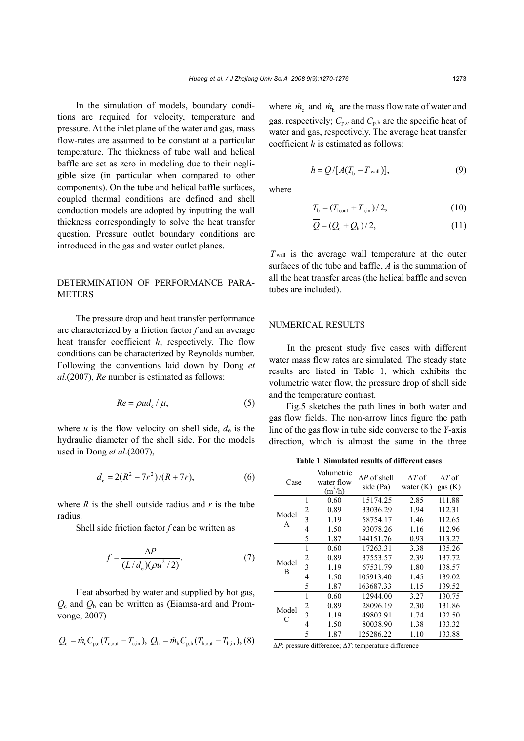In the simulation of models, boundary conditions are required for velocity, temperature and pressure. At the inlet plane of the water and gas, mass flow-rates are assumed to be constant at a particular temperature. The thickness of tube wall and helical baffle are set as zero in modeling due to their negligible size (in particular when compared to other components). On the tube and helical baffle surfaces, coupled thermal conditions are defined and shell conduction models are adopted by inputting the wall thickness correspondingly to solve the heat transfer question. Pressure outlet boundary conditions are introduced in the gas and water outlet planes.

## DETERMINATION OF PERFORMANCE PARA-**METERS**

The pressure drop and heat transfer performance are characterized by a friction factor *f* and an average heat transfer coefficient *h*, respectively. The flow conditions can be characterized by Reynolds number. Following the conventions laid down by Dong *et al*.(2007), *Re* number is estimated as follows:

$$
Re = \rho u d_{e} / \mu,
$$
 (5)

where  $u$  is the flow velocity on shell side,  $d_e$  is the hydraulic diameter of the shell side. For the models used in Dong *et al*.(2007),

$$
d_e = 2(R^2 - 7r^2)/(R + 7r),\tag{6}
$$

where  $R$  is the shell outside radius and  $r$  is the tube radius.

Shell side friction factor *f* can be written as

$$
f = \frac{\Delta P}{(L/d_e)(\rho u^2/2)}.\tag{7}
$$

Heat absorbed by water and supplied by hot gas, *Q*c and *Q*h can be written as (Eiamsa-ard and Promvonge, 2007)

$$
Q_{\rm c} = \dot{m}_{\rm c} C_{\rm p,c} (T_{\rm c,out} - T_{\rm c,in}), Q_{\rm h} = \dot{m}_{\rm h} C_{\rm p,h} (T_{\rm h,out} - T_{\rm h,in}),
$$
 (8)

where  $\dot{m}_c$  and  $\dot{m}_h$  are the mass flow rate of water and gas, respectively;  $C_{p,c}$  and  $C_{p,h}$  are the specific heat of water and gas, respectively. The average heat transfer coefficient *h* is estimated as follows:

$$
h = \overline{Q}/[A(T_{\text{b}} - \overline{T}_{\text{wall}})], \qquad (9)
$$

where

$$
T_{\rm b} = (T_{\rm h,out} + T_{\rm h,in})/2, \tag{10}
$$

$$
\overline{Q} = (Q_{\rm c} + Q_{\rm h})/2, \tag{11}
$$

 $T_{\text{wall}}$  is the average wall temperature at the outer surfaces of the tube and baffle, *A* is the summation of all the heat transfer areas (the helical baffle and seven tubes are included).

#### NUMERICAL RESULTS

In the present study five cases with different water mass flow rates are simulated. The steady state results are listed in Table 1, which exhibits the volumetric water flow, the pressure drop of shell side and the temperature contrast.

Fig.5 sketches the path lines in both water and gas flow fields. The non-arrow lines figure the path line of the gas flow in tube side converse to the *Y*-axis direction, which is almost the same in the three

**Table 1 Simulated results of different cases** 

| Case       |                | Volumetric<br>water flow<br>$(m^3/h)$ | $\Delta P$ of shell<br>side (Pa) | $\Delta T$ of<br>water $(K)$ | $\Delta T$ of<br>gas $(K)$ |
|------------|----------------|---------------------------------------|----------------------------------|------------------------------|----------------------------|
| Model<br>A | 1              | 0.60                                  | 15174.25                         | 2.85                         | 111.88                     |
|            | 2              | 0.89                                  | 33036.29                         | 1.94                         | 112.31                     |
|            | $\overline{3}$ | 1.19                                  | 58754.17                         | 1.46                         | 112.65                     |
|            | 4              | 1.50                                  | 93078.26                         | 1.16                         | 112.96                     |
|            | 5              | 1.87                                  | 144151.76                        | 0.93                         | 113.27                     |
| Model<br>В | 1              | 0.60                                  | 17263.31                         | 3.38                         | 135.26                     |
|            | 2              | 0.89                                  | 37553.57                         | 2.39                         | 137.72                     |
|            | $\overline{3}$ | 1.19                                  | 67531.79                         | 1.80                         | 138.57                     |
|            | 4              | 1.50                                  | 105913.40                        | 1.45                         | 139.02                     |
|            | 5              | 1.87                                  | 163687.33                        | 1.15                         | 139.52                     |
| Model<br>C | 1              | 0.60                                  | 12944.00                         | 3.27                         | 130.75                     |
|            | 2              | 0.89                                  | 28096.19                         | 2.30                         | 131.86                     |
|            | $\overline{3}$ | 1.19                                  | 49803.91                         | 1.74                         | 132.50                     |
|            | 4              | 1.50                                  | 80038.90                         | 1.38                         | 133.32                     |
|            | 5              | 1.87                                  | 125286.22                        | 1.10                         | 133.88                     |

Δ*P*: pressure difference; Δ*T*: temperature difference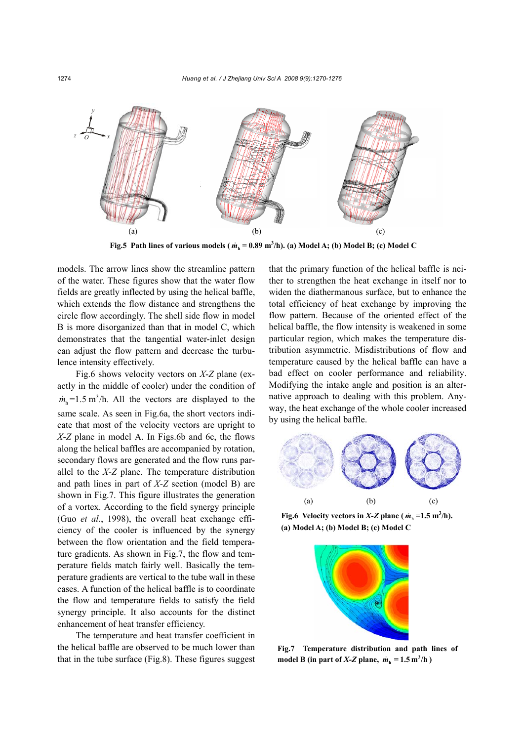

**Fig.5 Path lines of various models (** $\dot{m}_h = 0.89 \text{ m}^3/\text{h}$ **). (a) Model A; (b) Model B; (c) Model C** 

models. The arrow lines show the streamline pattern of the water. These figures show that the water flow fields are greatly inflected by using the helical baffle, which extends the flow distance and strengthens the circle flow accordingly. The shell side flow in model B is more disorganized than that in model C, which demonstrates that the tangential water-inlet design can adjust the flow pattern and decrease the turbulence intensity effectively.

Fig.6 shows velocity vectors on *X*-*Z* plane (exactly in the middle of cooler) under the condition of  $m<sub>b</sub> = 1.5$  m<sup>3</sup>/h. All the vectors are displayed to the same scale. As seen in Fig.6a, the short vectors indicate that most of the velocity vectors are upright to *X*-*Z* plane in model A. In Figs.6b and 6c, the flows along the helical baffles are accompanied by rotation, secondary flows are generated and the flow runs parallel to the *X-Z* plane. The temperature distribution and path lines in part of *X-Z* section (model B) are shown in Fig.7. This figure illustrates the generation of a vortex. According to the field synergy principle (Guo *et al*., 1998), the overall heat exchange efficiency of the cooler is influenced by the synergy between the flow orientation and the field temperature gradients. As shown in Fig.7, the flow and temperature fields match fairly well. Basically the temperature gradients are vertical to the tube wall in these cases. A function of the helical baffle is to coordinate the flow and temperature fields to satisfy the field synergy principle. It also accounts for the distinct enhancement of heat transfer efficiency.

The temperature and heat transfer coefficient in the helical baffle are observed to be much lower than that in the tube surface (Fig.8). These figures suggest that the primary function of the helical baffle is neither to strengthen the heat exchange in itself nor to widen the diathermanous surface, but to enhance the total efficiency of heat exchange by improving the flow pattern. Because of the oriented effect of the helical baffle, the flow intensity is weakened in some particular region, which makes the temperature distribution asymmetric. Misdistributions of flow and temperature caused by the helical baffle can have a bad effect on cooler performance and reliability. Modifying the intake angle and position is an alternative approach to dealing with this problem. Anyway, the heat exchange of the whole cooler increased by using the helical baffle.



**Fig.6** Velocity vectors in  $X-Z$  plane ( $\dot{m}_h = 1.5 \text{ m}^3/\text{h}$ ). **(a) Model A; (b) Model B; (c) Model C** 



**Fig.7 Temperature distribution and path lines of**  model B (in part of  $X-Z$  plane,  $\dot{m}_h = 1.5 \text{ m}^3/\text{h}$ )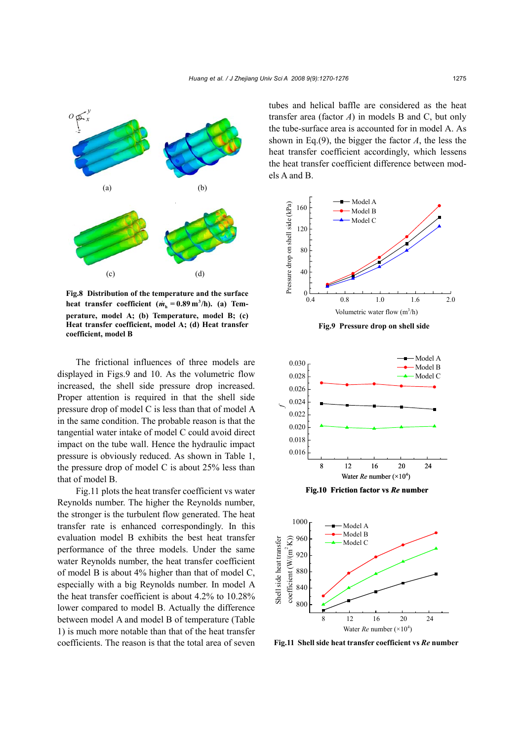

**Fig.8 Distribution of the temperature and the surface** heat transfer coefficient  $(m_h = 0.89 \text{ m}^3/\text{h})$ . (a) Tem**perature, model A; (b) Temperature, model B; (c) Heat transfer coefficient, model A; (d) Heat transfer coefficient, model B**

The frictional influences of three models are displayed in Figs.9 and 10. As the volumetric flow increased, the shell side pressure drop increased. Proper attention is required in that the shell side pressure drop of model C is less than that of model A in the same condition. The probable reason is that the tangential water intake of model C could avoid direct impact on the tube wall. Hence the hydraulic impact pressure is obviously reduced. As shown in Table 1, the pressure drop of model C is about 25% less than that of model B.

Fig.11 plots the heat transfer coefficient vs water Reynolds number. The higher the Reynolds number, the stronger is the turbulent flow generated. The heat transfer rate is enhanced correspondingly. In this evaluation model B exhibits the best heat transfer performance of the three models. Under the same water Reynolds number, the heat transfer coefficient of model B is about 4% higher than that of model C, especially with a big Reynolds number. In model A the heat transfer coefficient is about 4.2% to 10.28% lower compared to model B. Actually the difference between model A and model B of temperature (Table 1) is much more notable than that of the heat transfer coefficients. The reason is that the total area of seven tubes and helical baffle are considered as the heat transfer area (factor *A*) in models B and C, but only the tube-surface area is accounted for in model A. As shown in Eq.(9), the bigger the factor *A*, the less the heat transfer coefficient accordingly, which lessens the heat transfer coefficient difference between models A and B.





**Fig.11 Shell side heat transfer coefficient vs** *Re* **number**